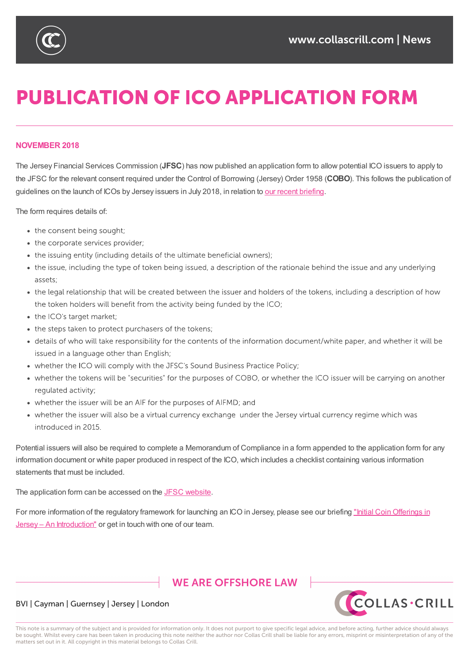

# **PUBLICATION OF ICO APPLICATION FORM**

## **NOVEMBER 2018**

The Jersey Financial Services Commission (**JFSC**) has now published an application form to allow potential ICO issuers to apply to the JFSC for the relevant consent required under the Control of Borrowing (Jersey) Order 1958 (**COBO**). This follows the publication of guidelines on the launch of ICOs by Jersey issuers in July 2018, in relation to our recent briefing.

The form requires details of:

- the consent being sought;
- the corporate services provider;
- the issuing entity (including details of the ultimate beneficial owners);
- the issue, including the type of token being issued, a description of the rationale behind the issue and any underlying assets:
- the legal relationship that will be created between the issuer and holders of the tokens, including a description of how the token holders will benefit from the activity being funded by the ICO;
- the ICO's target market;
- the steps taken to protect purchasers of the tokens;
- details of who will take responsibility for the contents of the information document/white paper, and whether it will be issued in a language other than English;
- whether the ICO will comply with the JFSC's Sound Business Practice Policy;
- whether the tokens will be "securities" for the purposes of COBO, or whether the ICO issuer will be carrying on another regulated activity;
- whether the issuer will be an AIF for the purposes of AIFMD; and
- whether the issuer will also be a virtual currency exchange under the Jersey virtual currency regime which was introduced in 2015.

Potential issuers will also be required to complete a Memorandum of Compliance in a form appended to the application form for any information document or white paper produced in respect of the ICO, which includes a checklist containing various information statements that must be included.

The application form can be accessed on the JFSC website.

For more information of the regulatory framework for launching an ICO in Jersey, please see our briefing "Initial Coin Offerings in Jersey - An Introduction" or get in touch with one of our [team](https://www.jerseyfsc.org/registry/application-forms/securities-non-fund/).

## **WE ARE OFFSHORE LAW**



## BVI | Cayman | Guernsey | Jersey | London

This note is a summary of the subject and is provided for information only. It does not purport to give specific legal advice, and before acting, further advice should always be sought. Whilst every care has been taken in producing this note neither the author nor Collas Crill shall be liable for any errors, misprint or misinterpretation of any of the matters set out in it. All copyright in this material belongs to Collas Crill.